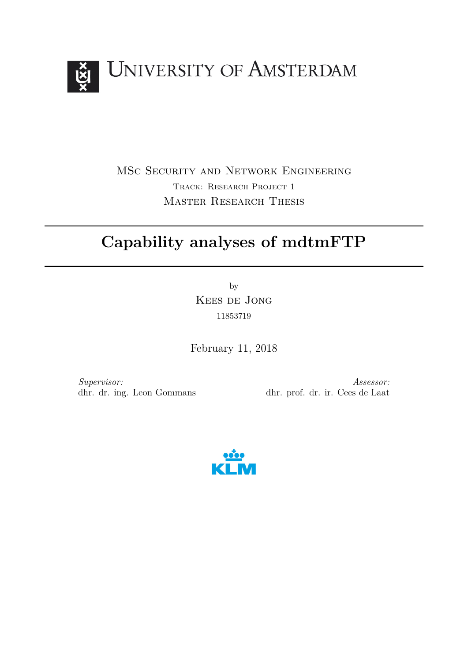

MSc Security and Network Engineering Track: Research Project 1 Master Research Thesis

# **Capability analyses of mdtmFTP**

by Kees de Jong 11853719

February 11, 2018

*Supervisor:* dhr. dr. ing. Leon Gommans

*Assessor:* dhr. prof. dr. ir. Cees de Laat

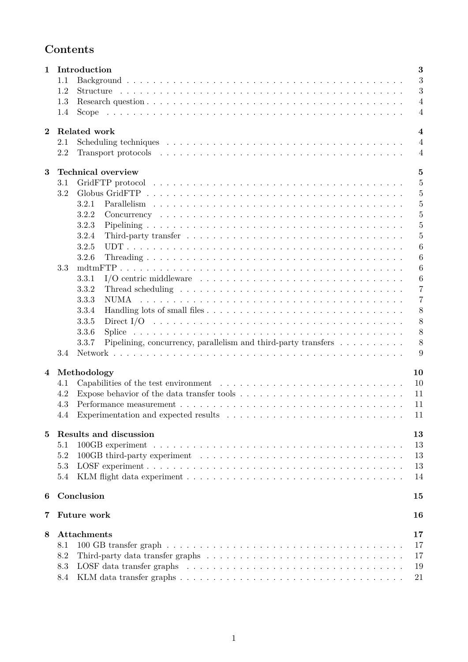# **Contents**

| $\mathbf{1}$   | Introduction<br>3 |                                                                                                                                     |  |  |  |  |  |  |  |
|----------------|-------------------|-------------------------------------------------------------------------------------------------------------------------------------|--|--|--|--|--|--|--|
|                | 1.1               | 3                                                                                                                                   |  |  |  |  |  |  |  |
|                | 1.2               | 3                                                                                                                                   |  |  |  |  |  |  |  |
|                | 1.3               | $\overline{4}$                                                                                                                      |  |  |  |  |  |  |  |
|                | 1.4               | $\overline{4}$<br>Scope                                                                                                             |  |  |  |  |  |  |  |
| $\mathbf{2}$   |                   | Related work<br>$\overline{\mathbf{4}}$                                                                                             |  |  |  |  |  |  |  |
|                | 2.1               | $\overline{4}$                                                                                                                      |  |  |  |  |  |  |  |
|                | 2.2               | $\overline{4}$                                                                                                                      |  |  |  |  |  |  |  |
| 3              |                   | <b>Technical overview</b><br>$\overline{5}$                                                                                         |  |  |  |  |  |  |  |
|                | 3.1               | $\overline{5}$                                                                                                                      |  |  |  |  |  |  |  |
|                | 3.2               | 5                                                                                                                                   |  |  |  |  |  |  |  |
|                |                   | $\overline{5}$<br>3.2.1                                                                                                             |  |  |  |  |  |  |  |
|                |                   | $\overline{5}$<br>3.2.2                                                                                                             |  |  |  |  |  |  |  |
|                |                   | $\overline{5}$<br>3.2.3                                                                                                             |  |  |  |  |  |  |  |
|                |                   | $\overline{5}$<br>3.2.4                                                                                                             |  |  |  |  |  |  |  |
|                |                   | 3.2.5<br>6                                                                                                                          |  |  |  |  |  |  |  |
|                |                   | 6<br>3.2.6                                                                                                                          |  |  |  |  |  |  |  |
|                | 3.3               | $\boldsymbol{6}$                                                                                                                    |  |  |  |  |  |  |  |
|                |                   | I/O centric middleware $\dots \dots \dots \dots \dots \dots \dots \dots \dots \dots \dots \dots \dots$<br>$\boldsymbol{6}$<br>3.3.1 |  |  |  |  |  |  |  |
|                |                   | $\overline{7}$<br>3.3.2                                                                                                             |  |  |  |  |  |  |  |
|                |                   | $\overline{7}$<br>3.3.3                                                                                                             |  |  |  |  |  |  |  |
|                |                   | 8<br>3.3.4                                                                                                                          |  |  |  |  |  |  |  |
|                |                   | 3.3.5<br>8                                                                                                                          |  |  |  |  |  |  |  |
|                |                   | 8<br>3.3.6                                                                                                                          |  |  |  |  |  |  |  |
|                |                   | 8<br>Pipelining, concurrency, parallelism and third-party transfers $\dots \dots \dots$<br>3.3.7                                    |  |  |  |  |  |  |  |
|                | 3.4               | 9                                                                                                                                   |  |  |  |  |  |  |  |
|                |                   |                                                                                                                                     |  |  |  |  |  |  |  |
| $\overline{4}$ |                   | 10<br>Methodology                                                                                                                   |  |  |  |  |  |  |  |
|                | 4.1               | 10                                                                                                                                  |  |  |  |  |  |  |  |
|                | 4.2               | 11                                                                                                                                  |  |  |  |  |  |  |  |
|                | 4.3               | 11                                                                                                                                  |  |  |  |  |  |  |  |
|                | 4.4               | 11                                                                                                                                  |  |  |  |  |  |  |  |
| 5              |                   | Results and discussion<br>13                                                                                                        |  |  |  |  |  |  |  |
|                | 5.1               | 13                                                                                                                                  |  |  |  |  |  |  |  |
|                | 5.2               | 13                                                                                                                                  |  |  |  |  |  |  |  |
|                | 5.3               | 13                                                                                                                                  |  |  |  |  |  |  |  |
|                | 5.4               | 14                                                                                                                                  |  |  |  |  |  |  |  |
| 6              |                   | Conclusion<br>15                                                                                                                    |  |  |  |  |  |  |  |
| 7              |                   | Future work<br>16                                                                                                                   |  |  |  |  |  |  |  |
| 8              |                   | <b>Attachments</b><br>$17\,$                                                                                                        |  |  |  |  |  |  |  |
|                | 8.1               | 17                                                                                                                                  |  |  |  |  |  |  |  |
|                | 8.2               | 17                                                                                                                                  |  |  |  |  |  |  |  |
|                | 8.3               | 19                                                                                                                                  |  |  |  |  |  |  |  |
|                | 8.4               | 21                                                                                                                                  |  |  |  |  |  |  |  |
|                |                   |                                                                                                                                     |  |  |  |  |  |  |  |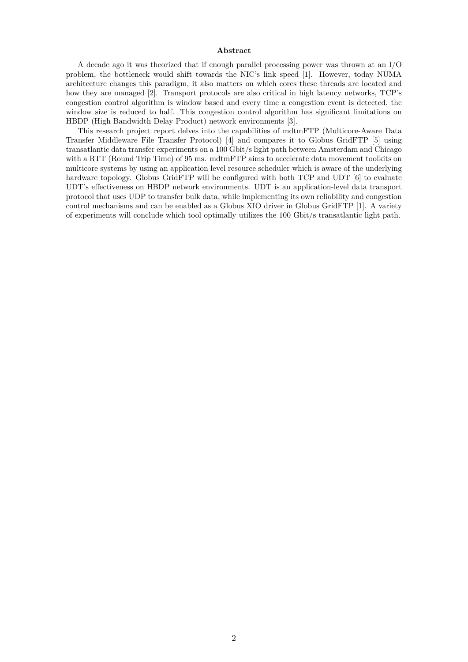#### **Abstract**

A decade ago it was theorized that if enough parallel processing power was thrown at an I/O problem, the bottleneck would shift towards the NIC's link speed [1]. However, today NUMA architecture changes this paradigm, it also matters on which cores these threads are located and how they are managed [2]. Transport protocols are also critical in high latency networks, TCP's congestion control algorithm is window based and every time a congestion event is detected, the window size is reduced to half. This congestion control algorithm has significant limitations on HBDP (High Bandwidth Delay Product) network environments [3].

This research project report delves into the capabilities of mdtmFTP (Multicore-Aware Data Transfer Middleware File Transfer Protocol) [4] and compares it to Globus GridFTP [5] using transatlantic data transfer experiments on a 100 Gbit/s light path between Amsterdam and Chicago with a RTT (Round Trip Time) of 95 ms. mdtmFTP aims to accelerate data movement toolkits on multicore systems by using an application level resource scheduler which is aware of the underlying hardware topology. Globus GridFTP will be configured with both TCP and UDT  $[6]$  to evaluate UDT's effectiveness on HBDP network environments. UDT is an application-level data transport protocol that uses UDP to transfer bulk data, while implementing its own reliability and congestion control mechanisms and can be enabled as a Globus XIO driver in Globus GridFTP [1]. A variety of experiments will conclude which tool optimally utilizes the 100 Gbit/s transatlantic light path.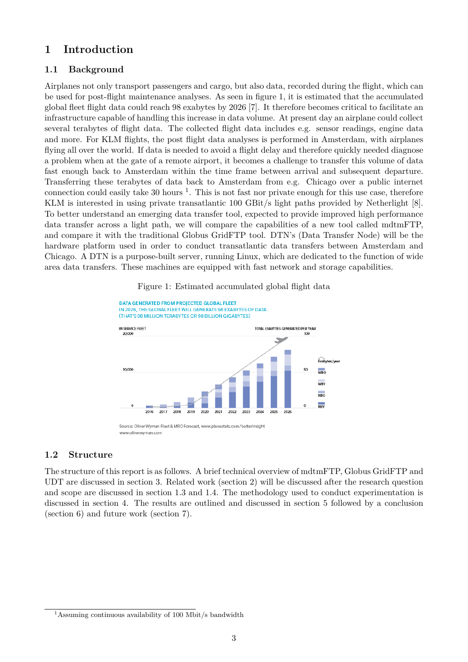# **1 Introduction**

# **1.1 Background**

Airplanes not only transport passengers and cargo, but also data, recorded during the flight, which can be used for post-flight maintenance analyses. As seen in figure 1, it is estimated that the accumulated global fleet flight data could reach 98 exabytes by 2026 [7]. It therefore becomes critical to facilitate an infrastructure capable of handling this increase in data volume. At present day an airplane could collect several terabytes of flight data. The collected flight data includes e.g. sensor readings, engine data and more. For KLM flights, the post flight data analyses is performed in Amsterdam, with airplanes flying all over the world. If data is needed to avoid a flight delay and therefore quickly needed diagnose a problem when at the gate of a remote airport, it becomes a challenge to transfer this volume of data fast enough back to Amsterdam within the time frame between arrival and subsequent departure. Transferring these terabytes of data back to Amsterdam from e.g. Chicago over a public internet connection could easily take 30 hours  $<sup>1</sup>$ . This is not fast nor private enough for this use case, therefore</sup> KLM is interested in using private transatlantic 100 GBit/s light paths provided by Netherlight [8]. To better understand an emerging data transfer tool, expected to provide improved high performance data transfer across a light path, we will compare the capabilities of a new tool called mdtmFTP, and compare it with the traditional Globus GridFTP tool. DTN's (Data Transfer Node) will be the hardware platform used in order to conduct transatlantic data transfers between Amsterdam and Chicago. A DTN is a purpose-built server, running Linux, which are dedicated to the function of wide area data transfers. These machines are equipped with fast network and storage capabilities.



Figure 1: Estimated accumulated global flight data

#### **1.2 Structure**

The structure of this report is as follows. A brief technical overview of mdtmFTP, Globus GridFTP and UDT are discussed in section 3. Related work (section 2) will be discussed after the research question and scope are discussed in section 1.3 and 1.4. The methodology used to conduct experimentation is discussed in section 4. The results are outlined and discussed in section 5 followed by a conclusion (section 6) and future work (section 7).

<sup>&</sup>lt;sup>1</sup>Assuming continuous availability of 100 Mbit/s bandwidth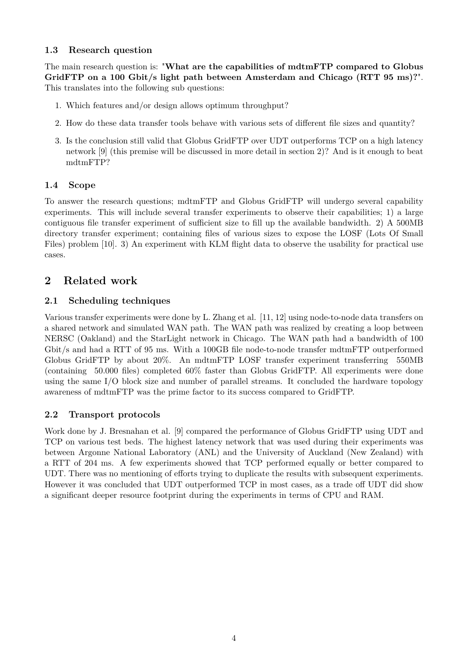# **1.3 Research question**

The main research question is: "**What are the capabilities of mdtmFTP compared to Globus GridFTP on a 100 Gbit/s light path between Amsterdam and Chicago (RTT 95 ms)?**". This translates into the following sub questions:

- 1. Which features and/or design allows optimum throughput?
- 2. How do these data transfer tools behave with various sets of different file sizes and quantity?
- 3. Is the conclusion still valid that Globus GridFTP over UDT outperforms TCP on a high latency network [9] (this premise will be discussed in more detail in section 2)? And is it enough to beat mdtmFTP?

# **1.4 Scope**

To answer the research questions; mdtmFTP and Globus GridFTP will undergo several capability experiments. This will include several transfer experiments to observe their capabilities; 1) a large contiguous file transfer experiment of sufficient size to fill up the available bandwidth. 2) A 500MB directory transfer experiment; containing files of various sizes to expose the LOSF (Lots Of Small Files) problem [10]. 3) An experiment with KLM flight data to observe the usability for practical use cases.

# **2 Related work**

# **2.1 Scheduling techniques**

Various transfer experiments were done by L. Zhang et al. [11, 12] using node-to-node data transfers on a shared network and simulated WAN path. The WAN path was realized by creating a loop between NERSC (Oakland) and the StarLight network in Chicago. The WAN path had a bandwidth of 100 Gbit/s and had a RTT of 95 ms. With a 100GB file node-to-node transfer mdtmFTP outperformed Globus GridFTP by about 20%. An mdtmFTP LOSF transfer experiment transferring 550MB (containing 50.000 files) completed 60% faster than Globus GridFTP. All experiments were done using the same I/O block size and number of parallel streams. It concluded the hardware topology awareness of mdtmFTP was the prime factor to its success compared to GridFTP.

# **2.2 Transport protocols**

Work done by J. Bresnahan et al. [9] compared the performance of Globus GridFTP using UDT and TCP on various test beds. The highest latency network that was used during their experiments was between Argonne National Laboratory (ANL) and the University of Auckland (New Zealand) with a RTT of 204 ms. A few experiments showed that TCP performed equally or better compared to UDT. There was no mentioning of efforts trying to duplicate the results with subsequent experiments. However it was concluded that UDT outperformed TCP in most cases, as a trade off UDT did show a significant deeper resource footprint during the experiments in terms of CPU and RAM.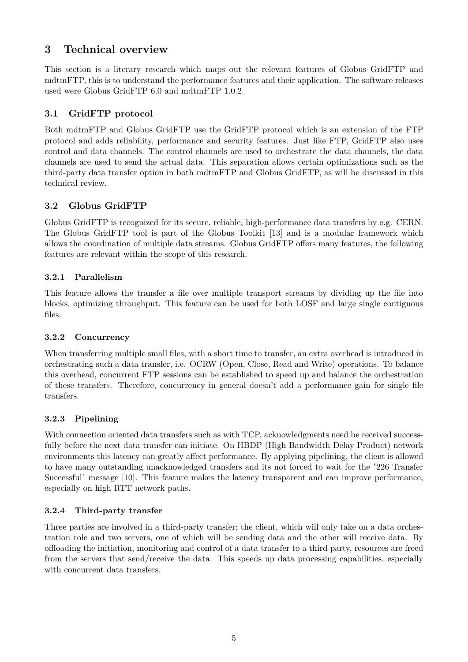# **3 Technical overview**

This section is a literary research which maps out the relevant features of Globus GridFTP and mdtmFTP, this is to understand the performance features and their application. The software releases used were Globus GridFTP 6.0 and mdtmFTP 1.0.2.

# **3.1 GridFTP protocol**

Both mdtmFTP and Globus GridFTP use the GridFTP protocol which is an extension of the FTP protocol and adds reliability, performance and security features. Just like FTP, GridFTP also uses control and data channels. The control channels are used to orchestrate the data channels, the data channels are used to send the actual data. This separation allows certain optimizations such as the third-party data transfer option in both mdtmFTP and Globus GridFTP, as will be discussed in this technical review.

# **3.2 Globus GridFTP**

Globus GridFTP is recognized for its secure, reliable, high-performance data transfers by e.g. CERN. The Globus GridFTP tool is part of the Globus Toolkit [13] and is a modular framework which allows the coordination of multiple data streams. Globus GridFTP offers many features, the following features are relevant within the scope of this research.

# **3.2.1 Parallelism**

This feature allows the transfer a file over multiple transport streams by dividing up the file into blocks, optimizing throughput. This feature can be used for both LOSF and large single contiguous files.

# **3.2.2 Concurrency**

When transferring multiple small files, with a short time to transfer, an extra overhead is introduced in orchestrating such a data transfer, i.e. OCRW (Open, Close, Read and Write) operations. To balance this overhead, concurrent FTP sessions can be established to speed up and balance the orchestration of these transfers. Therefore, concurrency in general doesn't add a performance gain for single file transfers.

# **3.2.3 Pipelining**

With connection oriented data transfers such as with TCP, acknowledgments need be received successfully before the next data transfer can initiate. On HBDP (High Bandwidth Delay Product) network environments this latency can greatly affect performance. By applying pipelining, the client is allowed to have many outstanding unacknowledged transfers and its not forced to wait for the "226 Transfer Successful" message [10]. This feature makes the latency transparent and can improve performance, especially on high RTT network paths.

# **3.2.4 Third-party transfer**

Three parties are involved in a third-party transfer; the client, which will only take on a data orchestration role and two servers, one of which will be sending data and the other will receive data. By offloading the initiation, monitoring and control of a data transfer to a third party, resources are freed from the servers that send/receive the data. This speeds up data processing capabilities, especially with concurrent data transfers.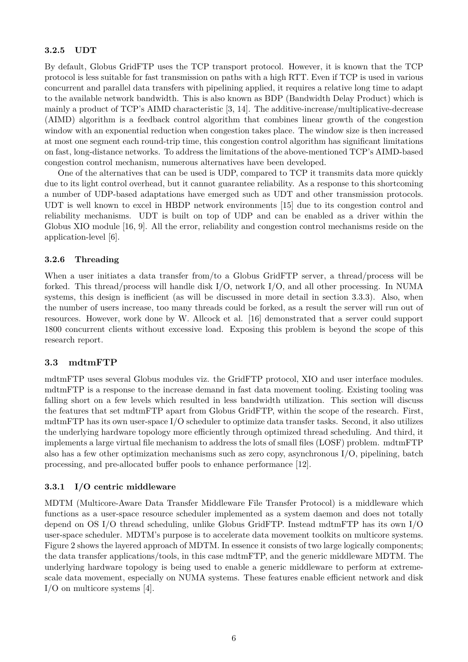#### **3.2.5 UDT**

By default, Globus GridFTP uses the TCP transport protocol. However, it is known that the TCP protocol is less suitable for fast transmission on paths with a high RTT. Even if TCP is used in various concurrent and parallel data transfers with pipelining applied, it requires a relative long time to adapt to the available network bandwidth. This is also known as BDP (Bandwidth Delay Product) which is mainly a product of TCP's AIMD characteristic [3, 14]. The additive-increase/multiplicative-decrease (AIMD) algorithm is a feedback control algorithm that combines linear growth of the congestion window with an exponential reduction when congestion takes place. The window size is then increased at most one segment each round-trip time, this congestion control algorithm has significant limitations on fast, long-distance networks. To address the limitations of the above-mentioned TCP's AIMD-based congestion control mechanism, numerous alternatives have been developed.

One of the alternatives that can be used is UDP, compared to TCP it transmits data more quickly due to its light control overhead, but it cannot guarantee reliability. As a response to this shortcoming a number of UDP-based adaptations have emerged such as UDT and other transmission protocols. UDT is well known to excel in HBDP network environments [15] due to its congestion control and reliability mechanisms. UDT is built on top of UDP and can be enabled as a driver within the Globus XIO module [16, 9]. All the error, reliability and congestion control mechanisms reside on the application-level [6].

#### **3.2.6 Threading**

When a user initiates a data transfer from/to a Globus GridFTP server, a thread/process will be forked. This thread/process will handle disk I/O, network I/O, and all other processing. In NUMA systems, this design is inefficient (as will be discussed in more detail in section 3.3.3). Also, when the number of users increase, too many threads could be forked, as a result the server will run out of resources. However, work done by W. Allcock et al. [16] demonstrated that a server could support 1800 concurrent clients without excessive load. Exposing this problem is beyond the scope of this research report.

#### **3.3 mdtmFTP**

mdtmFTP uses several Globus modules viz. the GridFTP protocol, XIO and user interface modules. mdtmFTP is a response to the increase demand in fast data movement tooling. Existing tooling was falling short on a few levels which resulted in less bandwidth utilization. This section will discuss the features that set mdtmFTP apart from Globus GridFTP, within the scope of the research. First, mdtmFTP has its own user-space I/O scheduler to optimize data transfer tasks. Second, it also utilizes the underlying hardware topology more efficiently through optimized thread scheduling. And third, it implements a large virtual file mechanism to address the lots of small files (LOSF) problem. mdtmFTP also has a few other optimization mechanisms such as zero copy, asynchronous I/O, pipelining, batch processing, and pre-allocated buffer pools to enhance performance [12].

#### **3.3.1 I/O centric middleware**

MDTM (Multicore-Aware Data Transfer Middleware File Transfer Protocol) is a middleware which functions as a user-space resource scheduler implemented as a system daemon and does not totally depend on OS I/O thread scheduling, unlike Globus GridFTP. Instead mdtmFTP has its own I/O user-space scheduler. MDTM's purpose is to accelerate data movement toolkits on multicore systems. Figure 2 shows the layered approach of MDTM. In essence it consists of two large logically components; the data transfer applications/tools, in this case mdtmFTP, and the generic middleware MDTM. The underlying hardware topology is being used to enable a generic middleware to perform at extremescale data movement, especially on NUMA systems. These features enable efficient network and disk I/O on multicore systems [4].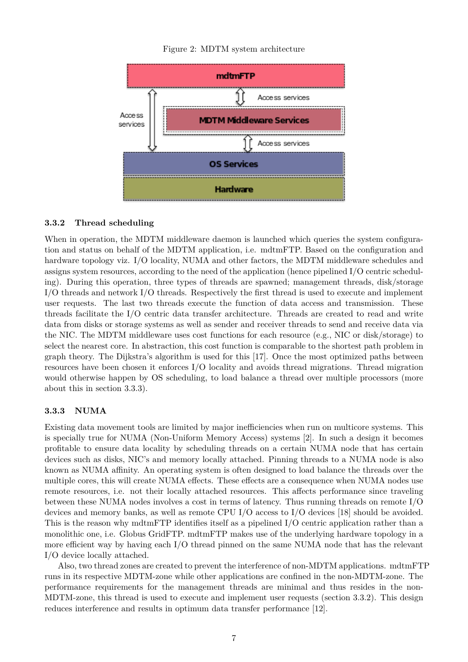



#### **3.3.2 Thread scheduling**

When in operation, the MDTM middleware daemon is launched which queries the system configuration and status on behalf of the MDTM application, i.e. mdtmFTP. Based on the configuration and hardware topology viz. I/O locality, NUMA and other factors, the MDTM middleware schedules and assigns system resources, according to the need of the application (hence pipelined I/O centric scheduling). During this operation, three types of threads are spawned; management threads, disk/storage I/O threads and network I/O threads. Respectively the first thread is used to execute and implement user requests. The last two threads execute the function of data access and transmission. These threads facilitate the I/O centric data transfer architecture. Threads are created to read and write data from disks or storage systems as well as sender and receiver threads to send and receive data via the NIC. The MDTM middleware uses cost functions for each resource (e.g., NIC or disk/storage) to select the nearest core. In abstraction, this cost function is comparable to the shortest path problem in graph theory. The Dijkstra's algorithm is used for this [17]. Once the most optimized paths between resources have been chosen it enforces I/O locality and avoids thread migrations. Thread migration would otherwise happen by OS scheduling, to load balance a thread over multiple processors (more about this in section 3.3.3).

#### **3.3.3 NUMA**

Existing data movement tools are limited by major inefficiencies when run on multicore systems. This is specially true for NUMA (Non-Uniform Memory Access) systems [2]. In such a design it becomes profitable to ensure data locality by scheduling threads on a certain NUMA node that has certain devices such as disks, NIC's and memory locally attached. Pinning threads to a NUMA node is also known as NUMA affinity. An operating system is often designed to load balance the threads over the multiple cores, this will create NUMA effects. These effects are a consequence when NUMA nodes use remote resources, i.e. not their locally attached resources. This affects performance since traveling between these NUMA nodes involves a cost in terms of latency. Thus running threads on remote I/O devices and memory banks, as well as remote CPU I/O access to I/O devices [18] should be avoided. This is the reason why mdtmFTP identifies itself as a pipelined I/O centric application rather than a monolithic one, i.e. Globus GridFTP. mdtmFTP makes use of the underlying hardware topology in a more efficient way by having each I/O thread pinned on the same NUMA node that has the relevant I/O device locally attached.

Also, two thread zones are created to prevent the interference of non-MDTM applications. mdtmFTP runs in its respective MDTM-zone while other applications are confined in the non-MDTM-zone. The performance requirements for the management threads are minimal and thus resides in the non-MDTM-zone, this thread is used to execute and implement user requests (section 3.3.2). This design reduces interference and results in optimum data transfer performance [12].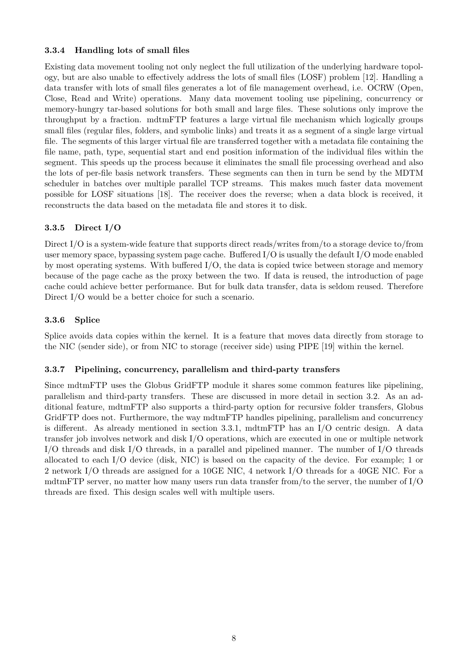# **3.3.4 Handling lots of small files**

Existing data movement tooling not only neglect the full utilization of the underlying hardware topology, but are also unable to effectively address the lots of small files (LOSF) problem [12]. Handling a data transfer with lots of small files generates a lot of file management overhead, i.e. OCRW (Open, Close, Read and Write) operations. Many data movement tooling use pipelining, concurrency or memory-hungry tar-based solutions for both small and large files. These solutions only improve the throughput by a fraction. mdtmFTP features a large virtual file mechanism which logically groups small files (regular files, folders, and symbolic links) and treats it as a segment of a single large virtual file. The segments of this larger virtual file are transferred together with a metadata file containing the file name, path, type, sequential start and end position information of the individual files within the segment. This speeds up the process because it eliminates the small file processing overhead and also the lots of per-file basis network transfers. These segments can then in turn be send by the MDTM scheduler in batches over multiple parallel TCP streams. This makes much faster data movement possible for LOSF situations [18]. The receiver does the reverse; when a data block is received, it reconstructs the data based on the metadata file and stores it to disk.

# **3.3.5 Direct I/O**

Direct I/O is a system-wide feature that supports direct reads/writes from/to a storage device to/from user memory space, bypassing system page cache. Buffered I/O is usually the default I/O mode enabled by most operating systems. With buffered I/O, the data is copied twice between storage and memory because of the page cache as the proxy between the two. If data is reused, the introduction of page cache could achieve better performance. But for bulk data transfer, data is seldom reused. Therefore Direct I/O would be a better choice for such a scenario.

#### **3.3.6 Splice**

Splice avoids data copies within the kernel. It is a feature that moves data directly from storage to the NIC (sender side), or from NIC to storage (receiver side) using PIPE [19] within the kernel.

#### **3.3.7 Pipelining, concurrency, parallelism and third-party transfers**

Since mdtmFTP uses the Globus GridFTP module it shares some common features like pipelining, parallelism and third-party transfers. These are discussed in more detail in section 3.2. As an additional feature, mdtmFTP also supports a third-party option for recursive folder transfers, Globus GridFTP does not. Furthermore, the way mdtmFTP handles pipelining, parallelism and concurrency is different. As already mentioned in section 3.3.1, mdtmFTP has an I/O centric design. A data transfer job involves network and disk I/O operations, which are executed in one or multiple network I/O threads and disk I/O threads, in a parallel and pipelined manner. The number of I/O threads allocated to each I/O device (disk, NIC) is based on the capacity of the device. For example; 1 or 2 network I/O threads are assigned for a 10GE NIC, 4 network I/O threads for a 40GE NIC. For a mdtmFTP server, no matter how many users run data transfer from/to the server, the number of I/O threads are fixed. This design scales well with multiple users.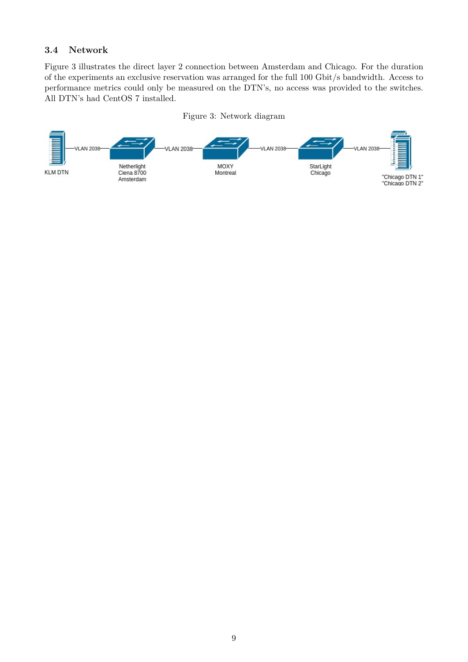# **3.4 Network**

Figure 3 illustrates the direct layer 2 connection between Amsterdam and Chicago. For the duration of the experiments an exclusive reservation was arranged for the full 100 Gbit/s bandwidth. Access to performance metrics could only be measured on the DTN's, no access was provided to the switches. All DTN's had CentOS 7 installed.



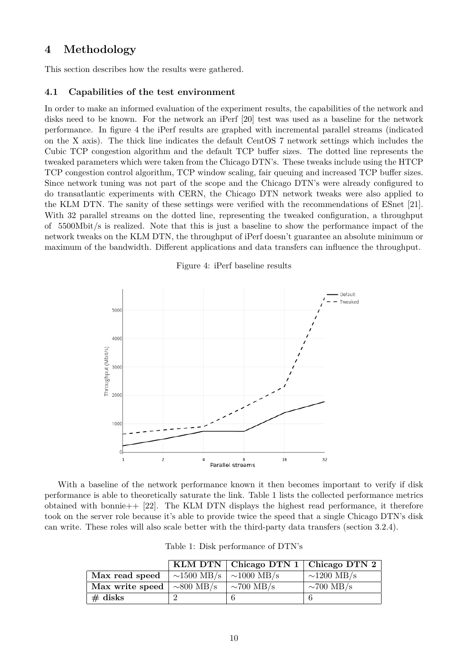# **4 Methodology**

This section describes how the results were gathered.

### **4.1 Capabilities of the test environment**

In order to make an informed evaluation of the experiment results, the capabilities of the network and disks need to be known. For the network an iPerf [20] test was used as a baseline for the network performance. In figure 4 the iPerf results are graphed with incremental parallel streams (indicated on the X axis). The thick line indicates the default CentOS 7 network settings which includes the Cubic TCP congestion algorithm and the default TCP buffer sizes. The dotted line represents the tweaked parameters which were taken from the Chicago DTN's. These tweaks include using the HTCP TCP congestion control algorithm, TCP window scaling, fair queuing and increased TCP buffer sizes. Since network tuning was not part of the scope and the Chicago DTN's were already configured to do transatlantic experiments with CERN, the Chicago DTN network tweaks were also applied to the KLM DTN. The sanity of these settings were verified with the recommendations of ESnet [21]. With 32 parallel streams on the dotted line, representing the tweaked configuration, a throughput of 5500Mbit/s is realized. Note that this is just a baseline to show the performance impact of the network tweaks on the KLM DTN, the throughput of iPerf doesn't guarantee an absolute minimum or maximum of the bandwidth. Different applications and data transfers can influence the throughput.



Figure 4: iPerf baseline results

With a baseline of the network performance known it then becomes important to verify if disk performance is able to theoretically saturate the link. Table 1 lists the collected performance metrics obtained with bonnie  $+$  [22]. The KLM DTN displays the highest read performance, it therefore took on the server role because it's able to provide twice the speed that a single Chicago DTN's disk can write. These roles will also scale better with the third-party data transfers (section 3.2.4).

|  |  | Table 1: Disk performance of DTN's |  |  |
|--|--|------------------------------------|--|--|
|--|--|------------------------------------|--|--|

|                                 |                                   | KLM DTN $\vert$ Chicago DTN 1 $\vert$ Chicago DTN 2 |                  |
|---------------------------------|-----------------------------------|-----------------------------------------------------|------------------|
| Max read speed                  | $\sim$ 1500 MB/s $\sim$ 1000 MB/s |                                                     | $\sim$ 1200 MB/s |
| Max write speed $\sim 800$ MB/s |                                   | $\sim$ 700 MB/s                                     | $\sim$ 700 MB/s  |
| $\#$ disks                      |                                   |                                                     |                  |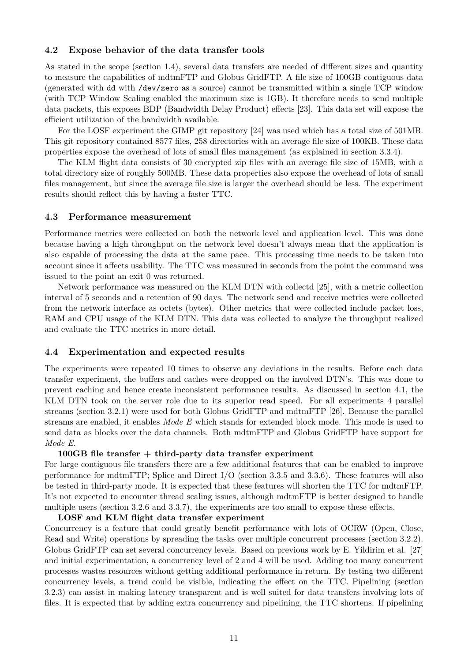#### **4.2 Expose behavior of the data transfer tools**

As stated in the scope (section 1.4), several data transfers are needed of different sizes and quantity to measure the capabilities of mdtmFTP and Globus GridFTP. A file size of 100GB contiguous data (generated with dd with /dev/zero as a source) cannot be transmitted within a single TCP window (with TCP Window Scaling enabled the maximum size is 1GB). It therefore needs to send multiple data packets, this exposes BDP (Bandwidth Delay Product) effects [23]. This data set will expose the efficient utilization of the bandwidth available.

For the LOSF experiment the GIMP git repository [24] was used which has a total size of 501MB. This git repository contained 8577 files, 258 directories with an average file size of 100KB. These data properties expose the overhead of lots of small files management (as explained in section 3.3.4).

The KLM flight data consists of 30 encrypted zip files with an average file size of 15MB, with a total directory size of roughly 500MB. These data properties also expose the overhead of lots of small files management, but since the average file size is larger the overhead should be less. The experiment results should reflect this by having a faster TTC.

#### **4.3 Performance measurement**

Performance metrics were collected on both the network level and application level. This was done because having a high throughput on the network level doesn't always mean that the application is also capable of processing the data at the same pace. This processing time needs to be taken into account since it affects usability. The TTC was measured in seconds from the point the command was issued to the point an exit 0 was returned.

Network performance was measured on the KLM DTN with collectd [25], with a metric collection interval of 5 seconds and a retention of 90 days. The network send and receive metrics were collected from the network interface as octets (bytes). Other metrics that were collected include packet loss, RAM and CPU usage of the KLM DTN. This data was collected to analyze the throughput realized and evaluate the TTC metrics in more detail.

#### **4.4 Experimentation and expected results**

The experiments were repeated 10 times to observe any deviations in the results. Before each data transfer experiment, the buffers and caches were dropped on the involved DTN's. This was done to prevent caching and hence create inconsistent performance results. As discussed in section 4.1, the KLM DTN took on the server role due to its superior read speed. For all experiments 4 parallel streams (section 3.2.1) were used for both Globus GridFTP and mdtmFTP [26]. Because the parallel streams are enabled, it enables *Mode E* which stands for extended block mode. This mode is used to send data as blocks over the data channels. Both mdtmFTP and Globus GridFTP have support for *Mode E*.

#### **100GB file transfer + third-party data transfer experiment**

For large contiguous file transfers there are a few additional features that can be enabled to improve performance for mdtmFTP; Splice and Direct I/O (section 3.3.5 and 3.3.6). These features will also be tested in third-party mode. It is expected that these features will shorten the TTC for mdtmFTP. It's not expected to encounter thread scaling issues, although mdtmFTP is better designed to handle multiple users (section 3.2.6 and 3.3.7), the experiments are too small to expose these effects.

#### **LOSF and KLM flight data transfer experiment**

Concurrency is a feature that could greatly benefit performance with lots of OCRW (Open, Close, Read and Write) operations by spreading the tasks over multiple concurrent processes (section 3.2.2). Globus GridFTP can set several concurrency levels. Based on previous work by E. Yildirim et al. [27] and initial experimentation, a concurrency level of 2 and 4 will be used. Adding too many concurrent processes wastes resources without getting additional performance in return. By testing two different concurrency levels, a trend could be visible, indicating the effect on the TTC. Pipelining (section 3.2.3) can assist in making latency transparent and is well suited for data transfers involving lots of files. It is expected that by adding extra concurrency and pipelining, the TTC shortens. If pipelining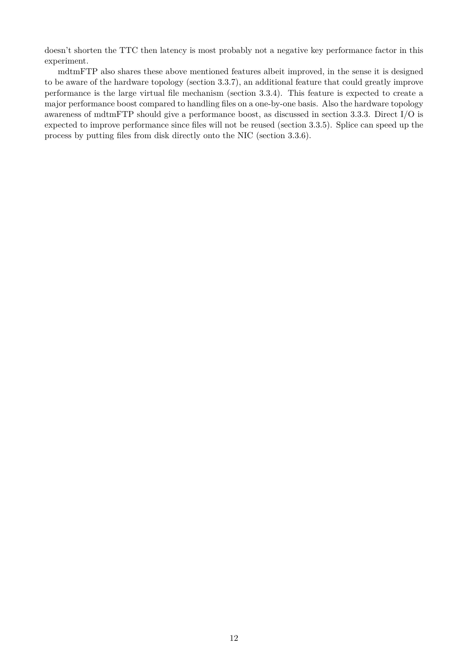doesn't shorten the TTC then latency is most probably not a negative key performance factor in this experiment.

mdtmFTP also shares these above mentioned features albeit improved, in the sense it is designed to be aware of the hardware topology (section 3.3.7), an additional feature that could greatly improve performance is the large virtual file mechanism (section 3.3.4). This feature is expected to create a major performance boost compared to handling files on a one-by-one basis. Also the hardware topology awareness of mdtmFTP should give a performance boost, as discussed in section 3.3.3. Direct I/O is expected to improve performance since files will not be reused (section 3.3.5). Splice can speed up the process by putting files from disk directly onto the NIC (section 3.3.6).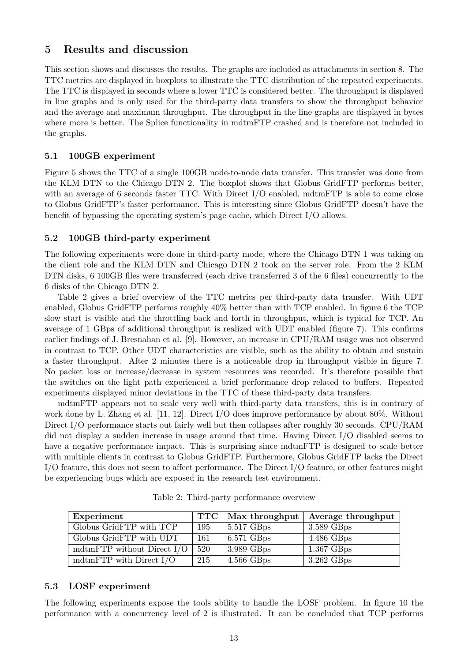# **5 Results and discussion**

This section shows and discusses the results. The graphs are included as attachments in section 8. The TTC metrics are displayed in boxplots to illustrate the TTC distribution of the repeated experiments. The TTC is displayed in seconds where a lower TTC is considered better. The throughput is displayed in line graphs and is only used for the third-party data transfers to show the throughput behavior and the average and maximum throughput. The throughput in the line graphs are displayed in bytes where more is better. The Splice functionality in mdtmFTP crashed and is therefore not included in the graphs.

# **5.1 100GB experiment**

Figure 5 shows the TTC of a single 100GB node-to-node data transfer. This transfer was done from the KLM DTN to the Chicago DTN 2. The boxplot shows that Globus GridFTP performs better, with an average of 6 seconds faster TTC. With Direct I/O enabled, mdtmFTP is able to come close to Globus GridFTP's faster performance. This is interesting since Globus GridFTP doesn't have the benefit of bypassing the operating system's page cache, which Direct I/O allows.

# **5.2 100GB third-party experiment**

The following experiments were done in third-party mode, where the Chicago DTN 1 was taking on the client role and the KLM DTN and Chicago DTN 2 took on the server role. From the 2 KLM DTN disks, 6 100GB files were transferred (each drive transferred 3 of the 6 files) concurrently to the 6 disks of the Chicago DTN 2.

Table 2 gives a brief overview of the TTC metrics per third-party data transfer. With UDT enabled, Globus GridFTP performs roughly 40% better than with TCP enabled. In figure 6 the TCP slow start is visible and the throttling back and forth in throughput, which is typical for TCP. An average of 1 GBps of additional throughput is realized with UDT enabled (figure 7). This confirms earlier findings of J. Bresnahan et al. [9]. However, an increase in CPU/RAM usage was not observed in contrast to TCP. Other UDT characteristics are visible, such as the ability to obtain and sustain a faster throughput. After 2 minutes there is a noticeable drop in throughput visible in figure 7. No packet loss or increase/decrease in system resources was recorded. It's therefore possible that the switches on the light path experienced a brief performance drop related to buffers. Repeated experiments displayed minor deviations in the TTC of these third-party data transfers.

mdtmFTP appears not to scale very well with third-party data transfers, this is in contrary of work done by L. Zhang et al. [11, 12]. Direct I/O does improve performance by about 80%. Without Direct I/O performance starts out fairly well but then collapses after roughly 30 seconds. CPU/RAM did not display a sudden increase in usage around that time. Having Direct I/O disabled seems to have a negative performance impact. This is surprising since mdtmFTP is designed to scale better with multiple clients in contrast to Globus GridFTP. Furthermore, Globus GridFTP lacks the Direct I/O feature, this does not seem to affect performance. The Direct I/O feature, or other features might be experiencing bugs which are exposed in the research test environment.

| Experiment                   | $\bf TTC$ | Max throughput | Average throughput |
|------------------------------|-----------|----------------|--------------------|
| Globus GridFTP with TCP      | 195       | $5.517$ GBps   | $3.589$ GBps       |
| Globus GridFTP with UDT      | 161       | $6.571$ GBps   | $4.486$ GBps       |
| mdtmFTP without Direct $I/O$ | 520       | 3.989 GBps     | $1.367$ GBps       |
| mdtmFTP with Direct $I/O$    | 215       | $4.566$ GBps   | $3.262$ GBps       |

Table 2: Third-party performance overview

# **5.3 LOSF experiment**

The following experiments expose the tools ability to handle the LOSF problem. In figure 10 the performance with a concurrency level of 2 is illustrated. It can be concluded that TCP performs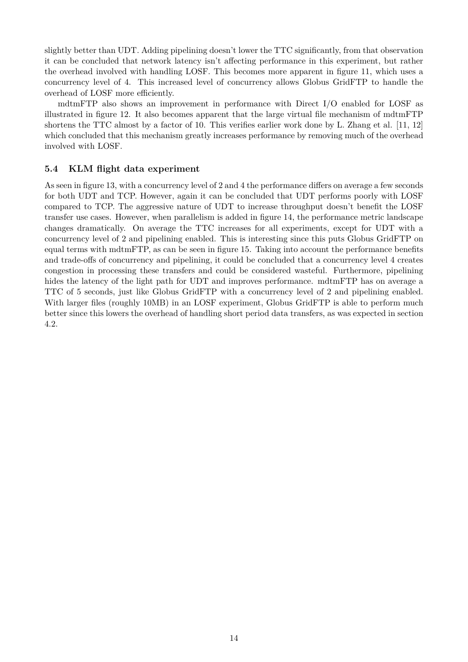slightly better than UDT. Adding pipelining doesn't lower the TTC significantly, from that observation it can be concluded that network latency isn't affecting performance in this experiment, but rather the overhead involved with handling LOSF. This becomes more apparent in figure 11, which uses a concurrency level of 4. This increased level of concurrency allows Globus GridFTP to handle the overhead of LOSF more efficiently.

mdtmFTP also shows an improvement in performance with Direct I/O enabled for LOSF as illustrated in figure 12. It also becomes apparent that the large virtual file mechanism of mdtmFTP shortens the TTC almost by a factor of 10. This verifies earlier work done by L. Zhang et al. [11, 12] which concluded that this mechanism greatly increases performance by removing much of the overhead involved with LOSF.

### **5.4 KLM flight data experiment**

As seen in figure 13, with a concurrency level of 2 and 4 the performance differs on average a few seconds for both UDT and TCP. However, again it can be concluded that UDT performs poorly with LOSF compared to TCP. The aggressive nature of UDT to increase throughput doesn't benefit the LOSF transfer use cases. However, when parallelism is added in figure 14, the performance metric landscape changes dramatically. On average the TTC increases for all experiments, except for UDT with a concurrency level of 2 and pipelining enabled. This is interesting since this puts Globus GridFTP on equal terms with mdtmFTP, as can be seen in figure 15. Taking into account the performance benefits and trade-offs of concurrency and pipelining, it could be concluded that a concurrency level 4 creates congestion in processing these transfers and could be considered wasteful. Furthermore, pipelining hides the latency of the light path for UDT and improves performance. mdtmFTP has on average a TTC of 5 seconds, just like Globus GridFTP with a concurrency level of 2 and pipelining enabled. With larger files (roughly 10MB) in an LOSF experiment, Globus GridFTP is able to perform much better since this lowers the overhead of handling short period data transfers, as was expected in section 4.2.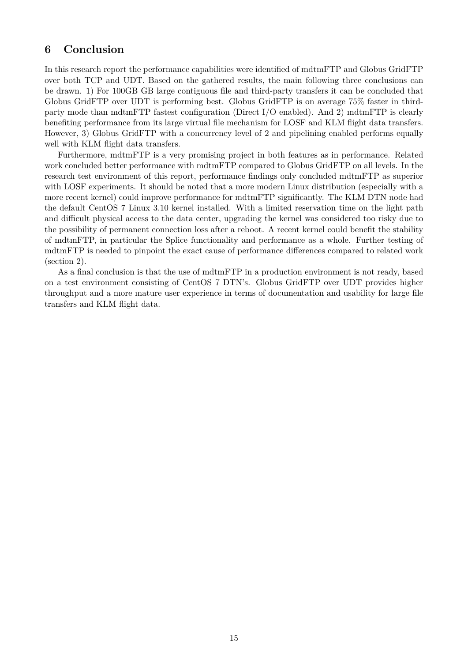# **6 Conclusion**

In this research report the performance capabilities were identified of mdtmFTP and Globus GridFTP over both TCP and UDT. Based on the gathered results, the main following three conclusions can be drawn. 1) For 100GB GB large contiguous file and third-party transfers it can be concluded that Globus GridFTP over UDT is performing best. Globus GridFTP is on average 75% faster in thirdparty mode than mdtmFTP fastest configuration (Direct I/O enabled). And 2) mdtmFTP is clearly benefiting performance from its large virtual file mechanism for LOSF and KLM flight data transfers. However, 3) Globus GridFTP with a concurrency level of 2 and pipelining enabled performs equally well with KLM flight data transfers.

Furthermore, mdtmFTP is a very promising project in both features as in performance. Related work concluded better performance with mdtmFTP compared to Globus GridFTP on all levels. In the research test environment of this report, performance findings only concluded mdtmFTP as superior with LOSF experiments. It should be noted that a more modern Linux distribution (especially with a more recent kernel) could improve performance for mdtmFTP significantly. The KLM DTN node had the default CentOS 7 Linux 3.10 kernel installed. With a limited reservation time on the light path and difficult physical access to the data center, upgrading the kernel was considered too risky due to the possibility of permanent connection loss after a reboot. A recent kernel could benefit the stability of mdtmFTP, in particular the Splice functionality and performance as a whole. Further testing of mdtmFTP is needed to pinpoint the exact cause of performance differences compared to related work (section 2).

As a final conclusion is that the use of mdtmFTP in a production environment is not ready, based on a test environment consisting of CentOS 7 DTN's. Globus GridFTP over UDT provides higher throughput and a more mature user experience in terms of documentation and usability for large file transfers and KLM flight data.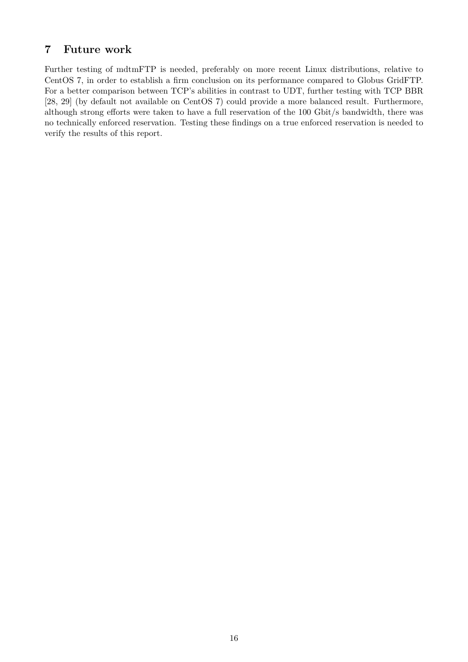# **7 Future work**

Further testing of mdtmFTP is needed, preferably on more recent Linux distributions, relative to CentOS 7, in order to establish a firm conclusion on its performance compared to Globus GridFTP. For a better comparison between TCP's abilities in contrast to UDT, further testing with TCP BBR [28, 29] (by default not available on CentOS 7) could provide a more balanced result. Furthermore, although strong efforts were taken to have a full reservation of the 100 Gbit/s bandwidth, there was no technically enforced reservation. Testing these findings on a true enforced reservation is needed to verify the results of this report.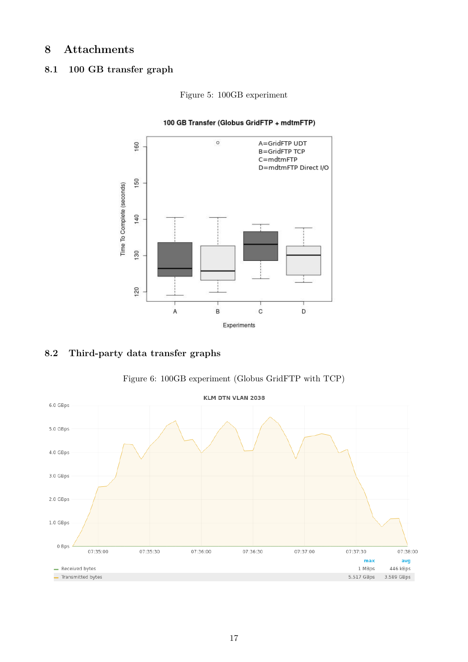# **8 Attachments**

# **8.1 100 GB transfer graph**



Figure 5: 100GB experiment

#### 100 GB Transfer (Globus GridFTP + mdtmFTP)

# **8.2 Third-party data transfer graphs**



Figure 6: 100GB experiment (Globus GridFTP with TCP)

avg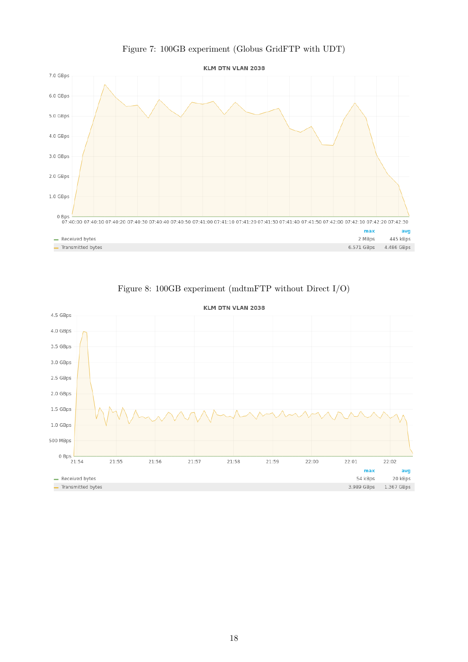

# Figure 7: 100GB experiment (Globus GridFTP with UDT)



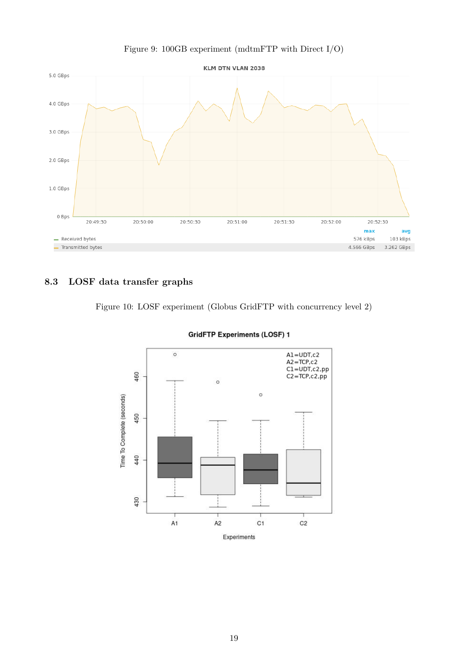

### Figure 9: 100GB experiment (mdtmFTP with Direct I/O)

# **8.3 LOSF data transfer graphs**





#### **GridFTP Experiments (LOSF) 1**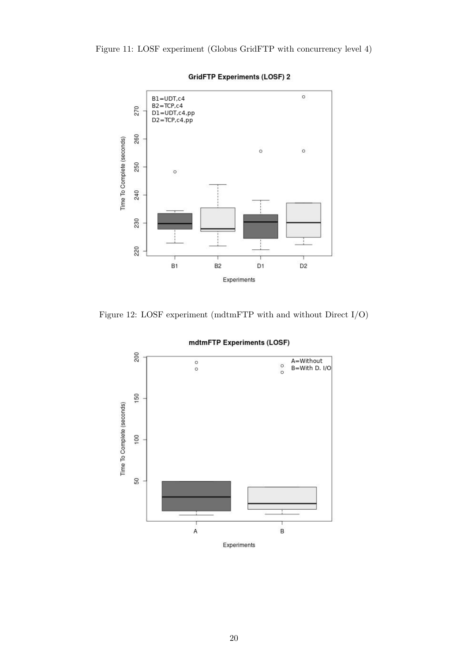### Figure 11: LOSF experiment (Globus GridFTP with concurrency level 4)



### **GridFTP Experiments (LOSF) 2**

Figure 12: LOSF experiment (mdtmFTP with and without Direct I/O)



#### mdtmFTP Experiments (LOSF)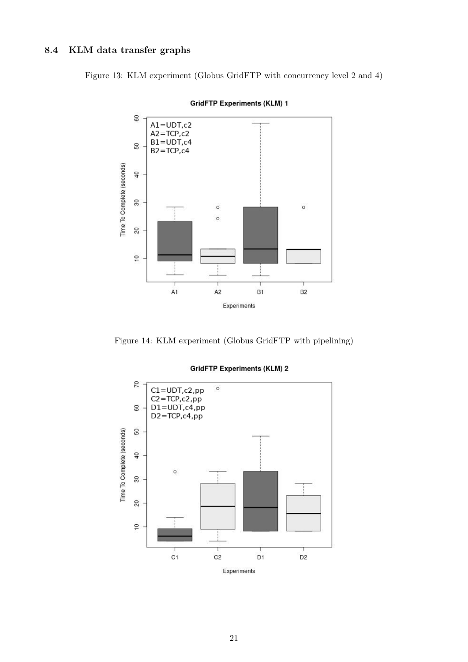# **8.4 KLM data transfer graphs**

Figure 13: KLM experiment (Globus GridFTP with concurrency level 2 and 4)



**GridFTP Experiments (KLM) 1** 

Figure 14: KLM experiment (Globus GridFTP with pipelining)



### **GridFTP Experiments (KLM) 2**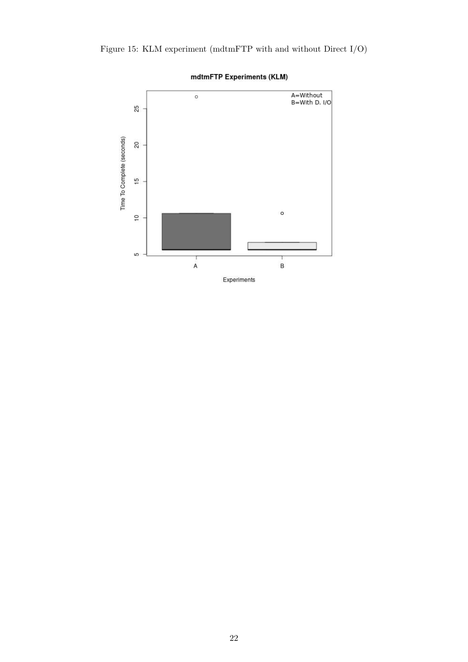



### mdtmFTP Experiments (KLM)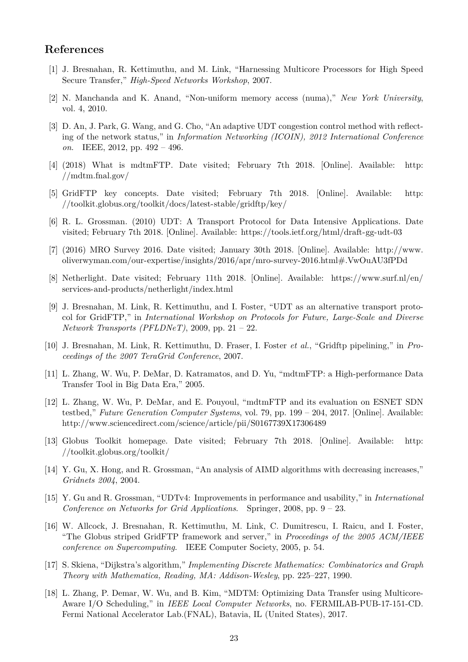# **References**

- [1] J. Bresnahan, R. Kettimuthu, and M. Link, "Harnessing Multicore Processors for High Speed Secure Transfer," *High-Speed Networks Workshop*, 2007.
- [2] N. Manchanda and K. Anand, "Non-uniform memory access (numa)," *New York University*, vol. 4, 2010.
- [3] D. An, J. Park, G. Wang, and G. Cho, "An adaptive UDT congestion control method with reflecting of the network status," in *Information Networking (ICOIN), 2012 International Conference on*. IEEE, 2012, pp. 492 – 496.
- [4] (2018) What is mdtmFTP. Date visited; February 7th 2018. [Online]. Available: http: //mdtm.fnal.gov/
- [5] GridFTP key concepts. Date visited; February 7th 2018. [Online]. Available: http: //toolkit.globus.org/toolkit/docs/latest-stable/gridftp/key/
- [6] R. L. Grossman. (2010) UDT: A Transport Protocol for Data Intensive Applications. Date visited; February 7th 2018. [Online]. Available: https://tools.ietf.org/html/draft-gg-udt-03
- [7] (2016) MRO Survey 2016. Date visited; January 30th 2018. [Online]. Available: http://www. oliverwyman.com/our-expertise/insights/2016/apr/mro-survey-2016.html#.VwOuAU3fPDd
- [8] Netherlight. Date visited; February 11th 2018. [Online]. Available: https://www.surf.nl/en/ services-and-products/netherlight/index.html
- [9] J. Bresnahan, M. Link, R. Kettimuthu, and I. Foster, "UDT as an alternative transport protocol for GridFTP," in *International Workshop on Protocols for Future, Large-Scale and Diverse Network Transports (PFLDNeT)*, 2009, pp. 21 – 22.
- [10] J. Bresnahan, M. Link, R. Kettimuthu, D. Fraser, I. Foster *et al.*, "Gridftp pipelining," in *Proceedings of the 2007 TeraGrid Conference*, 2007.
- [11] L. Zhang, W. Wu, P. DeMar, D. Katramatos, and D. Yu, "mdtmFTP: a High-performance Data Transfer Tool in Big Data Era," 2005.
- [12] L. Zhang, W. Wu, P. DeMar, and E. Pouyoul, "mdtmFTP and its evaluation on ESNET SDN testbed," *Future Generation Computer Systems*, vol. 79, pp. 199 – 204, 2017. [Online]. Available: http://www.sciencedirect.com/science/article/pii/S0167739X17306489
- [13] Globus Toolkit homepage. Date visited; February 7th 2018. [Online]. Available: http: //toolkit.globus.org/toolkit/
- [14] Y. Gu, X. Hong, and R. Grossman, "An analysis of AIMD algorithms with decreasing increases," *Gridnets 2004*, 2004.
- [15] Y. Gu and R. Grossman, "UDTv4: Improvements in performance and usability," in *International Conference on Networks for Grid Applications*. Springer, 2008, pp. 9 – 23.
- [16] W. Allcock, J. Bresnahan, R. Kettimuthu, M. Link, C. Dumitrescu, I. Raicu, and I. Foster, "The Globus striped GridFTP framework and server," in *Proceedings of the 2005 ACM/IEEE conference on Supercomputing*. IEEE Computer Society, 2005, p. 54.
- [17] S. Skiena, "Dijkstra's algorithm," *Implementing Discrete Mathematics: Combinatorics and Graph Theory with Mathematica, Reading, MA: Addison-Wesley*, pp. 225–227, 1990.
- [18] L. Zhang, P. Demar, W. Wu, and B. Kim, "MDTM: Optimizing Data Transfer using Multicore-Aware I/O Scheduling," in *IEEE Local Computer Networks*, no. FERMILAB-PUB-17-151-CD. Fermi National Accelerator Lab.(FNAL), Batavia, IL (United States), 2017.